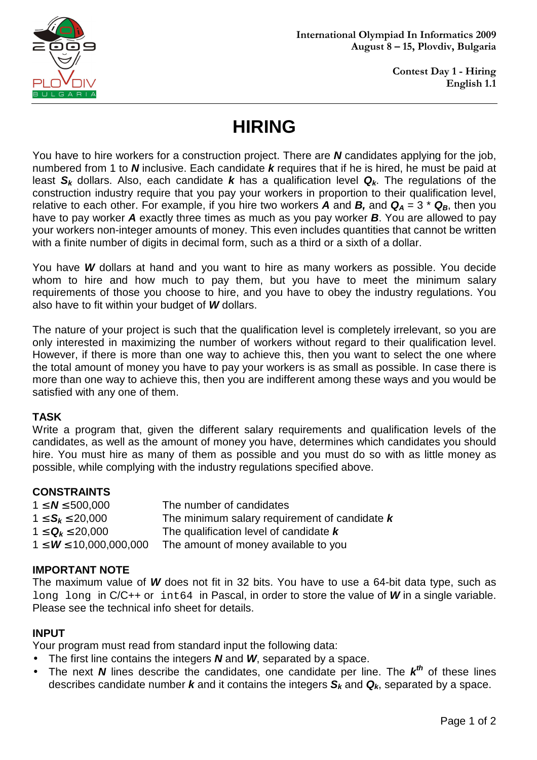

# **HIRING**

You have to hire workers for a construction project. There are **N** candidates applying for the job, numbered from 1 to **N** inclusive. Each candidate **k** requires that if he is hired, he must be paid at least **Sk** dollars. Also, each candidate **k** has a qualification level **Qk**. The regulations of the construction industry require that you pay your workers in proportion to their qualification level, relative to each other. For example, if you hire two workers **A** and **B**, and  $\mathbf{Q}_A = 3 * \mathbf{Q}_B$ , then you have to pay worker **A** exactly three times as much as you pay worker **B**. You are allowed to pay your workers non-integer amounts of money. This even includes quantities that cannot be written with a finite number of digits in decimal form, such as a third or a sixth of a dollar.

You have **W** dollars at hand and you want to hire as many workers as possible. You decide whom to hire and how much to pay them, but you have to meet the minimum salary requirements of those you choose to hire, and you have to obey the industry regulations. You also have to fit within your budget of **W** dollars.

The nature of your project is such that the qualification level is completely irrelevant, so you are only interested in maximizing the number of workers without regard to their qualification level. However, if there is more than one way to achieve this, then you want to select the one where the total amount of money you have to pay your workers is as small as possible. In case there is more than one way to achieve this, then you are indifferent among these ways and you would be satisfied with any one of them.

# **TASK**

Write a program that, given the different salary requirements and qualification levels of the candidates, as well as the amount of money you have, determines which candidates you should hire. You must hire as many of them as possible and you must do so with as little money as possible, while complying with the industry regulations specified above.

#### **CONSTRAINTS**

| $1 \le N \le 500,000$          | The number of candidates                        |
|--------------------------------|-------------------------------------------------|
| $1 \le S_k \le 20,000$         | The minimum salary requirement of candidate $k$ |
| $1 \le Q_k \le 20,000$         | The qualification level of candidate $\bm{k}$   |
| $1 \leq W \leq 10,000,000,000$ | The amount of money available to you            |

# **IMPORTANT NOTE**

The maximum value of **W** does not fit in 32 bits. You have to use a 64-bit data type, such as long long in C/C++ or int64 in Pascal, in order to store the value of **W** in a single variable. Please see the technical info sheet for details.

# **INPUT**

Your program must read from standard input the following data:

- The first line contains the integers **N** and **W**, separated by a space.
- The next **N** lines describe the candidates, one candidate per line. The  $k^{th}$  of these lines describes candidate number **k** and it contains the integers **Sk** and **Qk**, separated by a space.